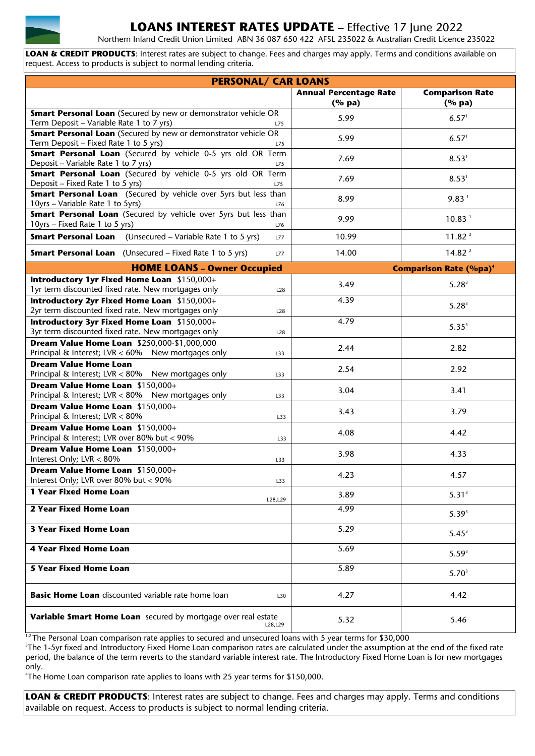

## **LOANS INTEREST RATES UPDATE** – Effective 17 June 2022

Northern Inland Credit Union Limited ABN 36 087 650 422 AFSL 235022 & Australian Credit Licence 235022

**LOAN & CREDIT PRODUCTS**: Interest rates are subject to change. Fees and charges may apply. Terms and conditions available on request. Access to products is subject to normal lending criteria.

| <b>PERSONAL/ CAR LOANS</b>                                                                                               |                               |                                          |  |  |
|--------------------------------------------------------------------------------------------------------------------------|-------------------------------|------------------------------------------|--|--|
|                                                                                                                          | <b>Annual Percentage Rate</b> | <b>Comparison Rate</b>                   |  |  |
|                                                                                                                          | (%pa)                         | $(%$ (% pa)                              |  |  |
| <b>Smart Personal Loan</b> (Secured by new or demonstrator vehicle OR<br>Term Deposit - Variable Rate 1 to 7 yrs)<br>L75 | 5.99                          | 6.57 <sup>1</sup>                        |  |  |
| <b>Smart Personal Loan</b> (Secured by new or demonstrator vehicle OR<br>Term Deposit - Fixed Rate 1 to 5 yrs)<br>L75    | 5.99                          | 6.57 <sup>1</sup>                        |  |  |
| <b>Smart Personal Loan</b> (Secured by vehicle 0-5 yrs old OR Term<br>Deposit - Variable Rate 1 to 7 yrs)<br>L75         | 7.69                          | 8.53 <sup>1</sup>                        |  |  |
| Smart Personal Loan (Secured by vehicle 0-5 yrs old OR Term<br>Deposit - Fixed Rate 1 to 5 yrs)<br>L75                   | 7.69                          | 8.53 <sup>1</sup>                        |  |  |
| <b>Smart Personal Loan</b> (Secured by vehicle over 5yrs but less than<br>10yrs - Variable Rate 1 to 5yrs)<br>L76        | 8.99                          | 9.83 <sup>1</sup>                        |  |  |
| <b>Smart Personal Loan</b> (Secured by vehicle over 5yrs but less than<br>10yrs - Fixed Rate 1 to 5 yrs)<br>L76          | 9.99                          | 10.83 <sup>1</sup>                       |  |  |
| <b>Smart Personal Loan</b> (Unsecured - Variable Rate 1 to 5 yrs)<br>L77                                                 | 10.99                         | 11.82 <sup>2</sup>                       |  |  |
| <b>Smart Personal Loan</b> (Unsecured - Fixed Rate 1 to 5 yrs)<br>L77                                                    | 14.00                         | 14.82 <sup>2</sup>                       |  |  |
| <b>HOME LOANS - Owner Occupied</b>                                                                                       |                               | <b>Comparison Rate (%pa)<sup>4</sup></b> |  |  |
| Introductory 1yr Fixed Home Loan \$150,000+<br>1yr term discounted fixed rate. New mortgages only<br>L28                 | 3.49                          | $5.28^{3}$                               |  |  |
| Introductory 2yr Fixed Home Loan \$150,000+<br>2yr term discounted fixed rate. New mortgages only<br>L28                 | 4.39                          | $5.28^{3}$                               |  |  |
| Introductory 3yr Fixed Home Loan \$150,000+<br>3yr term discounted fixed rate. New mortgages only<br>L28                 | 4.79                          | $5.35^{3}$                               |  |  |
| Dream Value Home Loan \$250,000-\$1,000,000                                                                              | 2.44                          | 2.82                                     |  |  |
| Principal & Interest; LVR < 60% New mortgages only<br>L33                                                                |                               |                                          |  |  |
| <b>Dream Value Home Loan</b><br>Principal & Interest; LVR < 80% New mortgages only<br>L33                                | 2.54                          | 2.92                                     |  |  |
| Dream Value Home Loan \$150,000+<br>Principal & Interest; LVR < 80% New mortgages only<br>L33                            | 3.04                          | 3.41                                     |  |  |
| Dream Value Home Loan \$150,000+<br>Principal & Interest; LVR < 80%<br>L33                                               | 3.43                          | 3.79                                     |  |  |
| Dream Value Home Loan \$150,000+<br>Principal & Interest; LVR over 80% but < 90%<br>L33                                  | 4.08                          | 4.42                                     |  |  |
| Dream Value Home Loan \$150,000+<br>Interest Only; LVR < 80%<br>L33                                                      | 3.98                          | 4.33                                     |  |  |
| Dream Value Home Loan \$150,000+<br>Interest Only; LVR over 80% but < 90%<br>L33                                         | 4.23                          | 4.57                                     |  |  |
| 1 Year Fixed Home Loan<br>L28,L29                                                                                        | 3.89                          | 5.31 <sup>3</sup>                        |  |  |
| 2 Year Fixed Home Loan                                                                                                   | 4.99                          | $5.39^{3}$                               |  |  |
| <b>3 Year Fixed Home Loan</b>                                                                                            | 5.29                          | $5.45^3$                                 |  |  |
| <b>4 Year Fixed Home Loan</b>                                                                                            | 5.69                          | $5.59^{3}$                               |  |  |
| <b>5 Year Fixed Home Loan</b>                                                                                            | 5.89                          | $5.70^{3}$                               |  |  |
| <b>Basic Home Loan</b> discounted variable rate home loan<br>L30                                                         | 4.27                          | 4.42                                     |  |  |
| Variable Smart Home Loan secured by mortgage over real estate<br>L28,L29                                                 | 5.32                          | 5.46                                     |  |  |

<sup>1,2</sup> The Personal Loan comparison rate applies to secured and unsecured loans with 5 year terms for \$30,000

3 The 1-5yr fixed and Introductory Fixed Home Loan comparison rates are calculated under the assumption at the end of the fixed rate period, the balance of the term reverts to the standard variable interest rate. The Introductory Fixed Home Loan is for new mortgages only.

4 The Home Loan comparison rate applies to loans with 25 year terms for \$150,000.

**LOAN & CREDIT PRODUCTS**: Interest rates are subject to change. Fees and charges may apply. Terms and conditions available on request. Access to products is subject to normal lending criteria.